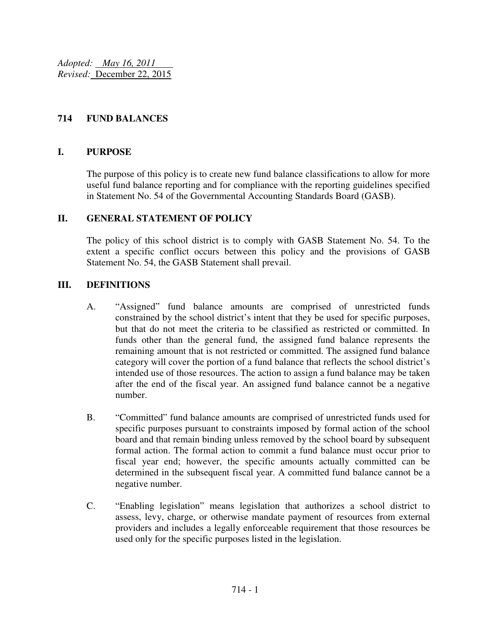*Adopted: May 16, 2011 Revised:* December 22, 2015

## **714 FUND BALANCES**

#### **I. PURPOSE**

The purpose of this policy is to create new fund balance classifications to allow for more useful fund balance reporting and for compliance with the reporting guidelines specified in Statement No. 54 of the Governmental Accounting Standards Board (GASB).

## **II. GENERAL STATEMENT OF POLICY**

The policy of this school district is to comply with GASB Statement No. 54. To the extent a specific conflict occurs between this policy and the provisions of GASB Statement No. 54, the GASB Statement shall prevail.

## **III. DEFINITIONS**

- A. "Assigned" fund balance amounts are comprised of unrestricted funds constrained by the school district's intent that they be used for specific purposes, but that do not meet the criteria to be classified as restricted or committed. In funds other than the general fund, the assigned fund balance represents the remaining amount that is not restricted or committed. The assigned fund balance category will cover the portion of a fund balance that reflects the school district's intended use of those resources. The action to assign a fund balance may be taken after the end of the fiscal year. An assigned fund balance cannot be a negative number.
- B. "Committed" fund balance amounts are comprised of unrestricted funds used for specific purposes pursuant to constraints imposed by formal action of the school board and that remain binding unless removed by the school board by subsequent formal action. The formal action to commit a fund balance must occur prior to fiscal year end; however, the specific amounts actually committed can be determined in the subsequent fiscal year. A committed fund balance cannot be a negative number.
- C. "Enabling legislation" means legislation that authorizes a school district to assess, levy, charge, or otherwise mandate payment of resources from external providers and includes a legally enforceable requirement that those resources be used only for the specific purposes listed in the legislation.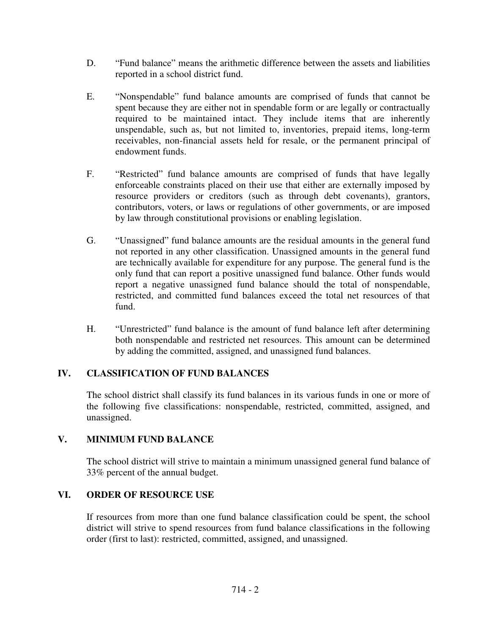- D. "Fund balance" means the arithmetic difference between the assets and liabilities reported in a school district fund.
- E. "Nonspendable" fund balance amounts are comprised of funds that cannot be spent because they are either not in spendable form or are legally or contractually required to be maintained intact. They include items that are inherently unspendable, such as, but not limited to, inventories, prepaid items, long-term receivables, non-financial assets held for resale, or the permanent principal of endowment funds.
- F. "Restricted" fund balance amounts are comprised of funds that have legally enforceable constraints placed on their use that either are externally imposed by resource providers or creditors (such as through debt covenants), grantors, contributors, voters, or laws or regulations of other governments, or are imposed by law through constitutional provisions or enabling legislation.
- G. "Unassigned" fund balance amounts are the residual amounts in the general fund not reported in any other classification. Unassigned amounts in the general fund are technically available for expenditure for any purpose. The general fund is the only fund that can report a positive unassigned fund balance. Other funds would report a negative unassigned fund balance should the total of nonspendable, restricted, and committed fund balances exceed the total net resources of that fund.
- H. "Unrestricted" fund balance is the amount of fund balance left after determining both nonspendable and restricted net resources. This amount can be determined by adding the committed, assigned, and unassigned fund balances.

# **IV. CLASSIFICATION OF FUND BALANCES**

The school district shall classify its fund balances in its various funds in one or more of the following five classifications: nonspendable, restricted, committed, assigned, and unassigned.

## **V. MINIMUM FUND BALANCE**

The school district will strive to maintain a minimum unassigned general fund balance of 33% percent of the annual budget.

## **VI. ORDER OF RESOURCE USE**

If resources from more than one fund balance classification could be spent, the school district will strive to spend resources from fund balance classifications in the following order (first to last): restricted, committed, assigned, and unassigned.